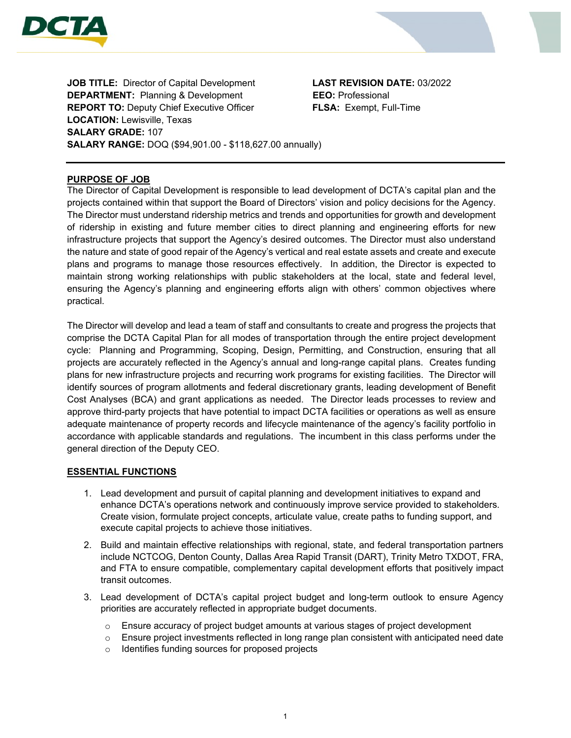



**JOB TITLE:** Director of Capital Development **LAST REVISION DATE:** 03/2022 **DEPARTMENT:** Planning & Development **EEO:** Professional **REPORT TO:** Deputy Chief Executive Officer **FLSA:** Exempt, Full-Time **LOCATION:** Lewisville, Texas **SALARY GRADE:** 107 **SALARY RANGE:** DOQ (\$94,901.00 - \$118,627.00 annually)

# **PURPOSE OF JOB**

The Director of Capital Development is responsible to lead development of DCTA's capital plan and the projects contained within that support the Board of Directors' vision and policy decisions for the Agency. The Director must understand ridership metrics and trends and opportunities for growth and development of ridership in existing and future member cities to direct planning and engineering efforts for new infrastructure projects that support the Agency's desired outcomes. The Director must also understand the nature and state of good repair of the Agency's vertical and real estate assets and create and execute plans and programs to manage those resources effectively. In addition, the Director is expected to maintain strong working relationships with public stakeholders at the local, state and federal level, ensuring the Agency's planning and engineering efforts align with others' common objectives where practical.

The Director will develop and lead a team of staff and consultants to create and progress the projects that comprise the DCTA Capital Plan for all modes of transportation through the entire project development cycle: Planning and Programming, Scoping, Design, Permitting, and Construction, ensuring that all projects are accurately reflected in the Agency's annual and long-range capital plans. Creates funding plans for new infrastructure projects and recurring work programs for existing facilities. The Director will identify sources of program allotments and federal discretionary grants, leading development of Benefit Cost Analyses (BCA) and grant applications as needed. The Director leads processes to review and approve third-party projects that have potential to impact DCTA facilities or operations as well as ensure adequate maintenance of property records and lifecycle maintenance of the agency's facility portfolio in accordance with applicable standards and regulations. The incumbent in this class performs under the general direction of the Deputy CEO.

## **ESSENTIAL FUNCTIONS**

- 1. Lead development and pursuit of capital planning and development initiatives to expand and enhance DCTA's operations network and continuously improve service provided to stakeholders. Create vision, formulate project concepts, articulate value, create paths to funding support, and execute capital projects to achieve those initiatives.
- 2. Build and maintain effective relationships with regional, state, and federal transportation partners include NCTCOG, Denton County, Dallas Area Rapid Transit (DART), Trinity Metro TXDOT, FRA, and FTA to ensure compatible, complementary capital development efforts that positively impact transit outcomes.
- 3. Lead development of DCTA's capital project budget and long-term outlook to ensure Agency priorities are accurately reflected in appropriate budget documents.
	- o Ensure accuracy of project budget amounts at various stages of project development
	- $\circ$  Ensure project investments reflected in long range plan consistent with anticipated need date
	- o Identifies funding sources for proposed projects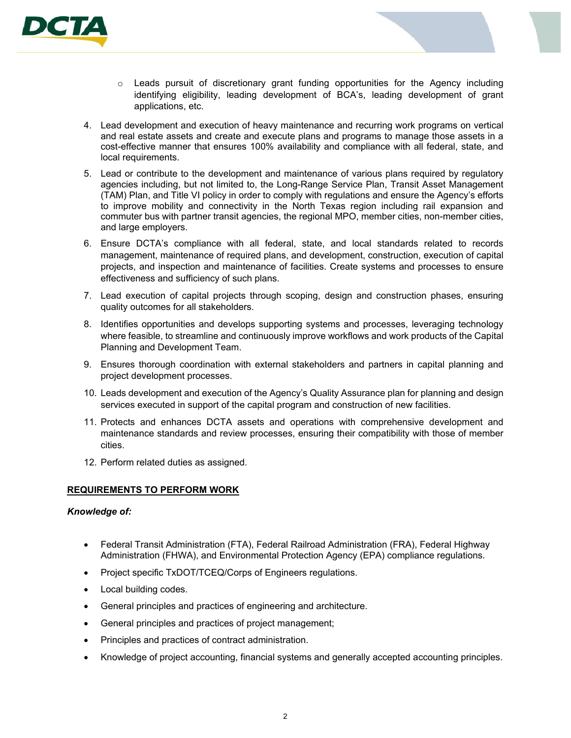

- $\circ$  Leads pursuit of discretionary grant funding opportunities for the Agency including identifying eligibility, leading development of BCA's, leading development of grant applications, etc.
- 4. Lead development and execution of heavy maintenance and recurring work programs on vertical and real estate assets and create and execute plans and programs to manage those assets in a cost-effective manner that ensures 100% availability and compliance with all federal, state, and local requirements.
- 5. Lead or contribute to the development and maintenance of various plans required by regulatory agencies including, but not limited to, the Long-Range Service Plan, Transit Asset Management (TAM) Plan, and Title VI policy in order to comply with regulations and ensure the Agency's efforts to improve mobility and connectivity in the North Texas region including rail expansion and commuter bus with partner transit agencies, the regional MPO, member cities, non-member cities, and large employers.
- 6. Ensure DCTA's compliance with all federal, state, and local standards related to records management, maintenance of required plans, and development, construction, execution of capital projects, and inspection and maintenance of facilities. Create systems and processes to ensure effectiveness and sufficiency of such plans.
- 7. Lead execution of capital projects through scoping, design and construction phases, ensuring quality outcomes for all stakeholders.
- 8. Identifies opportunities and develops supporting systems and processes, leveraging technology where feasible, to streamline and continuously improve workflows and work products of the Capital Planning and Development Team.
- 9. Ensures thorough coordination with external stakeholders and partners in capital planning and project development processes.
- 10. Leads development and execution of the Agency's Quality Assurance plan for planning and design services executed in support of the capital program and construction of new facilities.
- 11. Protects and enhances DCTA assets and operations with comprehensive development and maintenance standards and review processes, ensuring their compatibility with those of member cities.
- 12. Perform related duties as assigned.

## **REQUIREMENTS TO PERFORM WORK**

## *Knowledge of:*

- Federal Transit Administration (FTA), Federal Railroad Administration (FRA), Federal Highway Administration (FHWA), and Environmental Protection Agency (EPA) compliance regulations.
- Project specific TxDOT/TCEQ/Corps of Engineers regulations.
- Local building codes.
- General principles and practices of engineering and architecture.
- General principles and practices of project management;
- Principles and practices of contract administration.
- Knowledge of project accounting, financial systems and generally accepted accounting principles.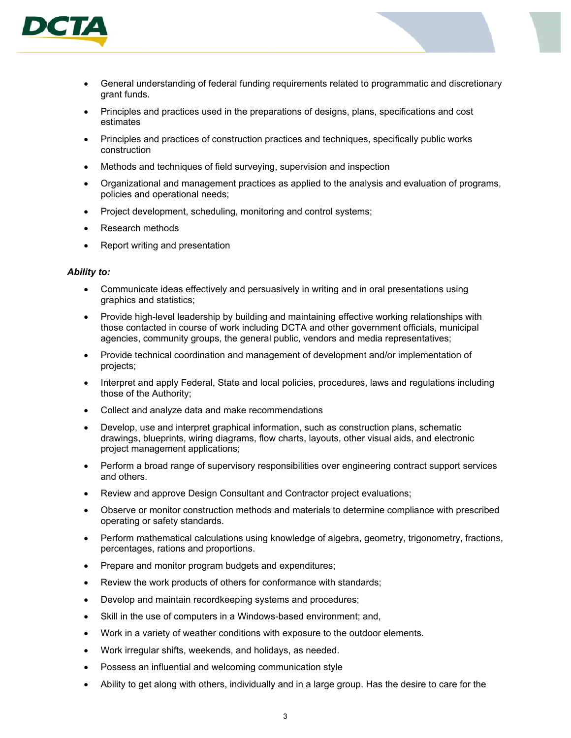

- General understanding of federal funding requirements related to programmatic and discretionary grant funds.
- Principles and practices used in the preparations of designs, plans, specifications and cost estimates
- Principles and practices of construction practices and techniques, specifically public works construction
- Methods and techniques of field surveying, supervision and inspection
- Organizational and management practices as applied to the analysis and evaluation of programs, policies and operational needs;
- Project development, scheduling, monitoring and control systems;
- Research methods
- Report writing and presentation

#### *Ability to:*

- Communicate ideas effectively and persuasively in writing and in oral presentations using graphics and statistics;
- Provide high-level leadership by building and maintaining effective working relationships with those contacted in course of work including DCTA and other government officials, municipal agencies, community groups, the general public, vendors and media representatives;
- Provide technical coordination and management of development and/or implementation of projects;
- Interpret and apply Federal, State and local policies, procedures, laws and regulations including those of the Authority;
- Collect and analyze data and make recommendations
- Develop, use and interpret graphical information, such as construction plans, schematic drawings, blueprints, wiring diagrams, flow charts, layouts, other visual aids, and electronic project management applications;
- Perform a broad range of supervisory responsibilities over engineering contract support services and others.
- Review and approve Design Consultant and Contractor project evaluations;
- Observe or monitor construction methods and materials to determine compliance with prescribed operating or safety standards.
- Perform mathematical calculations using knowledge of algebra, geometry, trigonometry, fractions, percentages, rations and proportions.
- Prepare and monitor program budgets and expenditures;
- Review the work products of others for conformance with standards;
- Develop and maintain recordkeeping systems and procedures;
- Skill in the use of computers in a Windows-based environment; and,
- Work in a variety of weather conditions with exposure to the outdoor elements.
- Work irregular shifts, weekends, and holidays, as needed.
- Possess an influential and welcoming communication style
- Ability to get along with others, individually and in a large group. Has the desire to care for the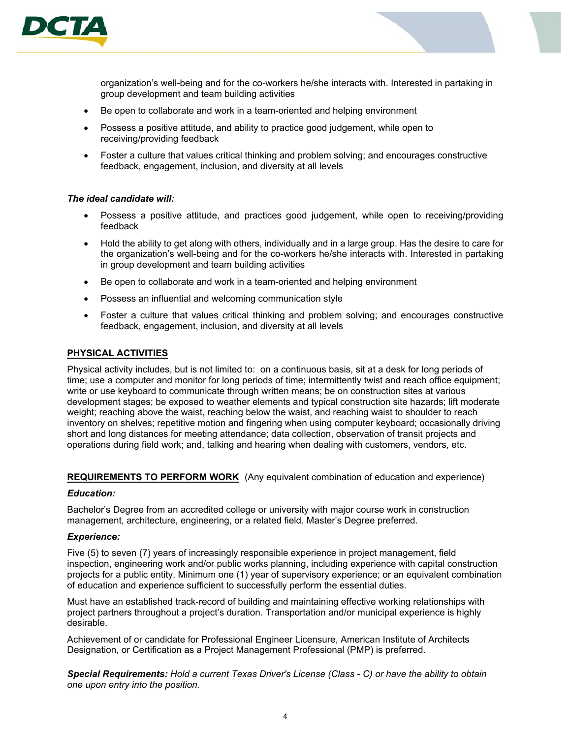



organization's well-being and for the co-workers he/she interacts with. Interested in partaking in group development and team building activities

- Be open to collaborate and work in a team-oriented and helping environment
- Possess a positive attitude, and ability to practice good judgement, while open to receiving/providing feedback
- Foster a culture that values critical thinking and problem solving; and encourages constructive feedback, engagement, inclusion, and diversity at all levels

## *The ideal candidate will:*

- Possess a positive attitude, and practices good judgement, while open to receiving/providing feedback
- Hold the ability to get along with others, individually and in a large group. Has the desire to care for the organization's well-being and for the co-workers he/she interacts with. Interested in partaking in group development and team building activities
- Be open to collaborate and work in a team-oriented and helping environment
- Possess an influential and welcoming communication style
- Foster a culture that values critical thinking and problem solving; and encourages constructive feedback, engagement, inclusion, and diversity at all levels

## **PHYSICAL ACTIVITIES**

Physical activity includes, but is not limited to: on a continuous basis, sit at a desk for long periods of time; use a computer and monitor for long periods of time; intermittently twist and reach office equipment; write or use keyboard to communicate through written means; be on construction sites at various development stages; be exposed to weather elements and typical construction site hazards; lift moderate weight; reaching above the waist, reaching below the waist, and reaching waist to shoulder to reach inventory on shelves; repetitive motion and fingering when using computer keyboard; occasionally driving short and long distances for meeting attendance; data collection, observation of transit projects and operations during field work; and, talking and hearing when dealing with customers, vendors, etc.

## **REQUIREMENTS TO PERFORM WORK** (Any equivalent combination of education and experience)

## *Education:*

Bachelor's Degree from an accredited college or university with major course work in construction management, architecture, engineering, or a related field. Master's Degree preferred.

## *Experience:*

Five (5) to seven (7) years of increasingly responsible experience in project management, field inspection, engineering work and/or public works planning, including experience with capital construction projects for a public entity. Minimum one (1) year of supervisory experience; or an equivalent combination of education and experience sufficient to successfully perform the essential duties.

Must have an established track-record of building and maintaining effective working relationships with project partners throughout a project's duration. Transportation and/or municipal experience is highly desirable.

Achievement of or candidate for Professional Engineer Licensure, American Institute of Architects Designation, or Certification as a Project Management Professional (PMP) is preferred.

*Special Requirements: Hold a current Texas Driver's License (Class - C) or have the ability to obtain one upon entry into the position.*